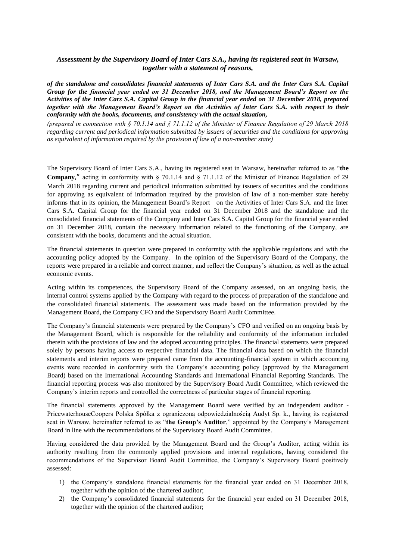## *Assessment by the Supervisory Board of Inter Cars S.A., having its registered seat in Warsaw, together with a statement of reasons,*

*of the standalone and consolidates financial statements of Inter Cars S.A. and the Inter Cars S.A. Capital Group for the financial year ended on 31 December 2018, and the Management Board's Report on the Activities of the Inter Cars S.A. Capital Group in the financial year ended on 31 December 2018, prepared together with the Management Board's Report on the Activities of Inter Cars S.A. with respect to their conformity with the books, documents, and consistency with the actual situation,* 

*(prepared in connection with § 70.1.14 and § 71.1.12 of the Minister of Finance Regulation of 29 March 2018 regarding current and periodical information submitted by issuers of securities and the conditions for approving as equivalent of information required by the provision of law of a non-member state)*

The Supervisory Board of Inter Cars S.A., having its registered seat in Warsaw, hereinafter referred to as "**the Company**," acting in conformity with § 70.1.14 and § 71.1.12 of the Minister of Finance Regulation of 29 March 2018 regarding current and periodical information submitted by issuers of securities and the conditions for approving as equivalent of information required by the provision of law of a non-member state hereby informs that in its opinion, the Management Board's Report on the Activities of Inter Cars S.A. and the Inter Cars S.A. Capital Group for the financial year ended on 31 December 2018 and the standalone and the consolidated financial statements of the Company and Inter Cars S.A. Capital Group for the financial year ended on 31 December 2018, contain the necessary information related to the functioning of the Company, are consistent with the books, documents and the actual situation.

The financial statements in question were prepared in conformity with the applicable regulations and with the accounting policy adopted by the Company. In the opinion of the Supervisory Board of the Company, the reports were prepared in a reliable and correct manner, and reflect the Company's situation, as well as the actual economic events.

Acting within its competences, the Supervisory Board of the Company assessed, on an ongoing basis, the internal control systems applied by the Company with regard to the process of preparation of the standalone and the consolidated financial statements. The assessment was made based on the information provided by the Management Board, the Company CFO and the Supervisory Board Audit Committee.

The Company's financial statements were prepared by the Company's CFO and verified on an ongoing basis by the Management Board, which is responsible for the reliability and conformity of the information included therein with the provisions of law and the adopted accounting principles. The financial statements were prepared solely by persons having access to respective financial data. The financial data based on which the financial statements and interim reports were prepared came from the accounting-financial system in which accounting events were recorded in conformity with the Company's accounting policy (approved by the Management Board) based on the International Accounting Standards and International Financial Reporting Standards. The financial reporting process was also monitored by the Supervisory Board Audit Committee, which reviewed the Company's interim reports and controlled the correctness of particular stages of financial reporting.

The financial statements approved by the Management Board were verified by an independent auditor - PricewaterhouseCoopers Polska Spółka z ograniczoną odpowiedzialnością Audyt Sp. k., having its registered seat in Warsaw, hereinafter referred to as "**the Group's Auditor**," appointed by the Company's Management Board in line with the recommendations of the Supervisory Board Audit Committee.

Having considered the data provided by the Management Board and the Group's Auditor, acting within its authority resulting from the commonly applied provisions and internal regulations, having considered the recommendations of the Supervisor Board Audit Committee, the Company's Supervisory Board positively assessed:

- 1) the Company's standalone financial statements for the financial year ended on 31 December 2018, together with the opinion of the chartered auditor;
- 2) the Company's consolidated financial statements for the financial year ended on 31 December 2018, together with the opinion of the chartered auditor;